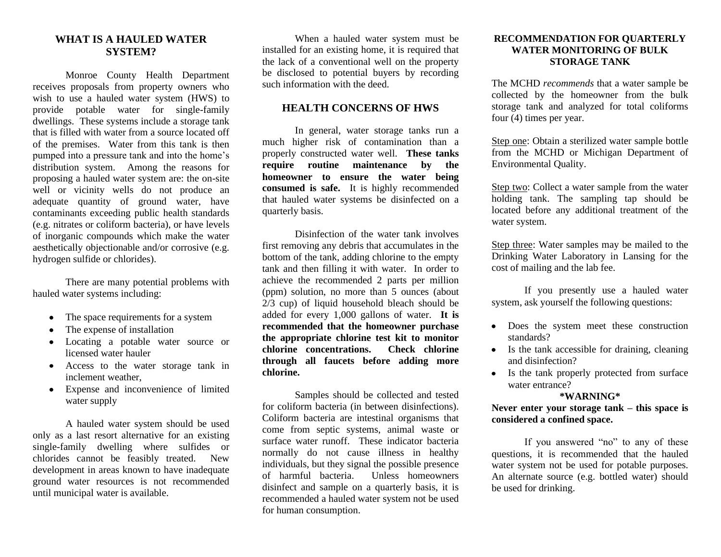### **WHAT IS A HAULED WATER SYSTEM?**

Monroe County Health Department receives proposals from property owners who wish to use a hauled water system (HWS) to provide potable water for single-family dwellings. These systems include a storage tank that is filled with water from a source located off of the premises. Water from this tank is then pumped into a pressure tank and into the home's distribution system. Among the reasons for proposing a hauled water system are: the on-site well or vicinity wells do not produce an adequate quantity of ground water, have contaminants exceeding public health standards (e.g. nitrates or coliform bacteria), or have levels of inorganic compounds which make the water aesthetically objectionable and/or corrosive (e.g. hydrogen sulfide or chlorides).

There are many potential problems with hauled water systems including:

- The space requirements for a system
- The expense of installation
- Locating a potable water source or licensed water hauler
- Access to the water storage tank in inclement weather,
- Expense and inconvenience of limited water supply

A hauled water system should be used only as a last resort alternative for an existing single-family dwelling where sulfides or chlorides cannot be feasibly treated. New development in areas known to have inadequate ground water resources is not recommended until municipal water is available.

When a hauled water system must be installed for an existing home, it is required that the lack of a conventional well on the property be disclosed to potential buyers by recording such information with the deed.

# **HEALTH CONCERNS OF HWS**

In general, water storage tanks run a much higher risk of contamination than a properly constructed water well. **These tanks require routine maintenance by the homeowner to ensure the water being consumed is safe.** It is highly recommended that hauled water systems be disinfected on a quarterly basis.

Disinfection of the water tank involves first removing any debris that accumulates in the bottom of the tank, adding chlorine to the empty tank and then filling it with water. In order to achieve the recommended 2 parts per million (ppm) solution, no more than 5 ounces (about 2/3 cup) of liquid household bleach should be added for every 1,000 gallons of water. **It is recommended that the homeowner purchase the appropriate chlorine test kit to monitor**  chlorine concentrations. **through all faucets before adding more chlorine.**

Samples should be collected and tested for coliform bacteria (in between disinfections). Coliform bacteria are intestinal organisms that come from septic systems, animal waste or surface water runoff. These indicator bacteria normally do not cause illness in healthy individuals, but they signal the possible presence of harmful bacteria. Unless homeowners disinfect and sample on a quarterly basis, it is recommended a hauled water system not be used for human consumption.

#### **RECOMMENDATION FOR QUARTERLY WATER MONITORING OF BULK STORAGE TANK**

The MCHD *recommends* that a water sample be collected by the homeowner from the bulk storage tank and analyzed for total coliforms four (4) times per year.

Step one: Obtain a sterilized water sample bottle from the MCHD or Michigan Department of Environmental Quality.

Step two: Collect a water sample from the water holding tank. The sampling tap should be located before any additional treatment of the water system.

Step three: Water samples may be mailed to the Drinking Water Laboratory in Lansing for the cost of mailing and the lab fee.

If you presently use a hauled water system, ask yourself the following questions:

- Does the system meet these construction standards?
- Is the tank accessible for draining, cleaning and disinfection?
- Is the tank properly protected from surface water entrance?

#### **\*WARNING\***

**Never enter your storage tank – this space is considered a confined space.**

If you answered "no" to any of these questions, it is recommended that the hauled water system not be used for potable purposes. An alternate source (e.g. bottled water) should be used for drinking.